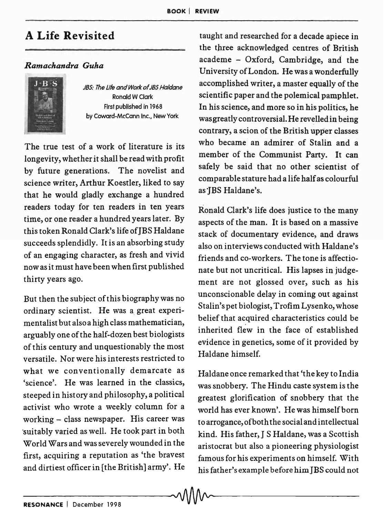## A Life Revisited

## *Ramachandra Guha*



JBS: The Life and Work of JBS Haldane Ronald W Clark First published in 1968 by Coward-McCann Inc., New York

The true test of a work of literature is its longevity, whether it shall be read with profit by future generations. The novelist and science writer, Arthur Koestler, liked to say that he would gladly exchange a hundred readers today for ten readers in ten years time, or one reader a hundred years later. By this token Ronald Clark's life of JBS Haldane succeeds splendidly. It is an absorbing study of an engaging character, as fresh and vivid now as it must have been when first published thirty years ago.

But then the subject of this biography was no ordinary scientist. He was a great experimentalist but also a high class mathematician, arguably one of the half-dozen best biologists of this century and unquestionably the most versatile. Nor were his interests restricted to what we conventionally demarcate as 'science'. He was learned in the classics, steeped in history and philosophy, a political activist who wrote a weekly column for a working - class newspaper. His career was 'suitably varied as well. He took part in both World Wars and was severely wounded in the first, acquiring a reputation as 'the bravest and dirtiest officer in [the British] army'. He

taught and researched for a decade apiece in the three acknowledged centres of British academe - Oxford, Cambridge, and the University of London. He was a wonderfully accomplished writer, a master equally of the scientific paper and the polemical pamphlet. In his science, and more so in his politics, he was greatly controversial. He revelled in being contrary, a scion of the British upper classes who became an admirer of Stalin and a member of the Communist Party. It can safely be said that no other scientist of comparable stature had a life half as colourful as JBS Haldane's.

Ronald Clark's life does justice to the many aspects of the man. It is based on a massive stack of documentary evidence, and draws also on interviews conducted with Haldane's friends and co-workers. The tone is affectionate but not uncritical. His lapses in judgement are not glossed over, such as his unconscionable delay in coming out against Stalin's pet biologist, Trofim Lysenko, whose belief that acquired characteristics could be inherited flew in the face of established evidence in genetics, some of it provided by Haldane himself.

Haldane once remarked that 'the key to India was snobbery. The Hindu caste system is the greatest glorification of snobbery that the world has ever known'. He was himself born to arrogance, of both the social and intellectual kind. His father, J S Haldane, was a Scottish aristocrat but also a pioneering physiologist famous for his experiments on himself. With his father's example before him JBS could not